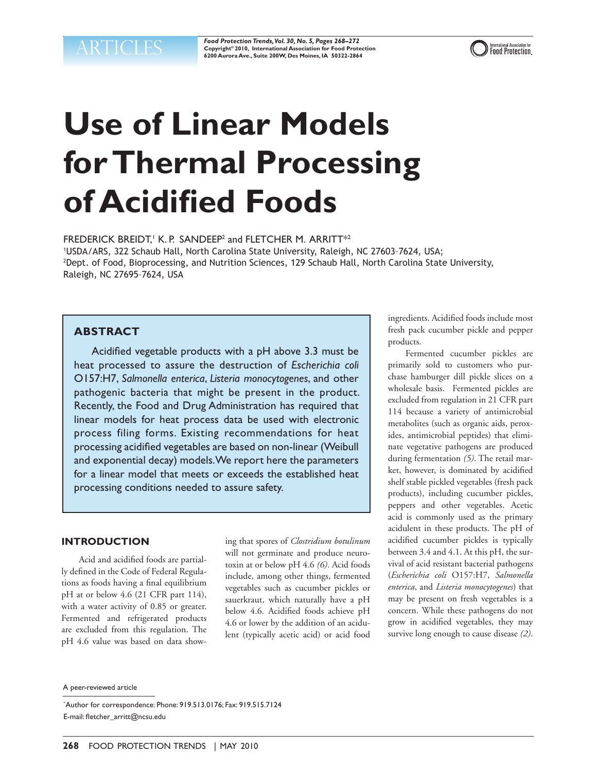*Food Protection Trends, Vol. 30, No. 5, Pages 268–272*  $\text{ARTICLES}$  **Food Protection Trends, Vol. 30, No. 5, Pages 268–272**<br>  $\text{Copy triple 200, Internation of a tree, 200W, Des Moines, IA 50322-2864}$ 



# **Use of Linear Models for Thermal Processing of Acidified Foods**

FREDERICK BREIDT,<sup>1</sup> K.P. SANDEEP<sup>2</sup> and FLETCHER M. ARRITT<sup>\*2</sup>

1 USDA/ARS, 322 Schaub Hall, North Carolina State University, Raleigh, NC 27603–7624, USA; 2 Dept. of Food, Bioprocessing, and Nutrition Sciences, 129 Schaub Hall, North Carolina State University, Raleigh, NC 27695–7624, USA

# **ABSTRACT**

Acidified vegetable products with a pH above 3.3 must be heat processed to assure the destruction of *Escherichia coli*  O157:H7, *Salmonella enterica*, *Listeria monocytogenes*, and other pathogenic bacteria that might be present in the product. Recently, the Food and Drug Administration has required that linear models for heat process data be used with electronic process filing forms. Existing recommendations for heat processing acidified vegetables are based on non-linear (Weibull and exponential decay) models. We report here the parameters for a linear model that meets or exceeds the established heat processing conditions needed to assure safety.

## **INTRODUCTION**

Acid and acidified foods are partially defined in the Code of Federal Regulations as foods having a final equilibrium pH at or below 4.6 (21 CFR part 114), with a water activity of 0.85 or greater. Fermented and refrigerated products are excluded from this regulation. The pH 4.6 value was based on data showing that spores of *Clostridium botulinum*  will not germinate and produce neurotoxin at or below pH 4.6 *(6)*. Acid foods include, among other things, fermented vegetables such as cucumber pickles or sauerkraut, which naturally have a pH below 4.6. Acidified foods achieve pH 4.6 or lower by the addition of an acidulent (typically acetic acid) or acid food

ingredients. Acidified foods include most fresh pack cucumber pickle and pepper products.

Fermented cucumber pickles are primarily sold to customers who purchase hamburger dill pickle slices on a wholesale basis. Fermented pickles are excluded from regulation in 21 CFR part 114 because a variety of antimicrobial metabolites (such as organic aids, peroxides, antimicrobial peptides) that eliminate vegetative pathogens are produced during fermentation *(5)*. The retail market, however, is dominated by acidified shelf stable pickled vegetables (fresh pack products), including cucumber pickles, peppers and other vegetables. Acetic acid is commonly used as the primary acidulent in these products. The pH of acidified cucumber pickles is typically between 3.4 and 4.1. At this pH, the survival of acid resistant bacterial pathogens (*Escherichia coli* O157:H7, *Salmonella enterica*, and *Listeria monocytogenes*) that may be present on fresh vegetables is a concern. While these pathogens do not grow in acidified vegetables, they may survive long enough to cause disease *(2)*.

A peer-reviewed article

<sup>\*</sup> Author for correspondence: Phone: 919.513.0176; Fax: 919.515.7124 E-mail: fletcher\_arritt@ncsu.edu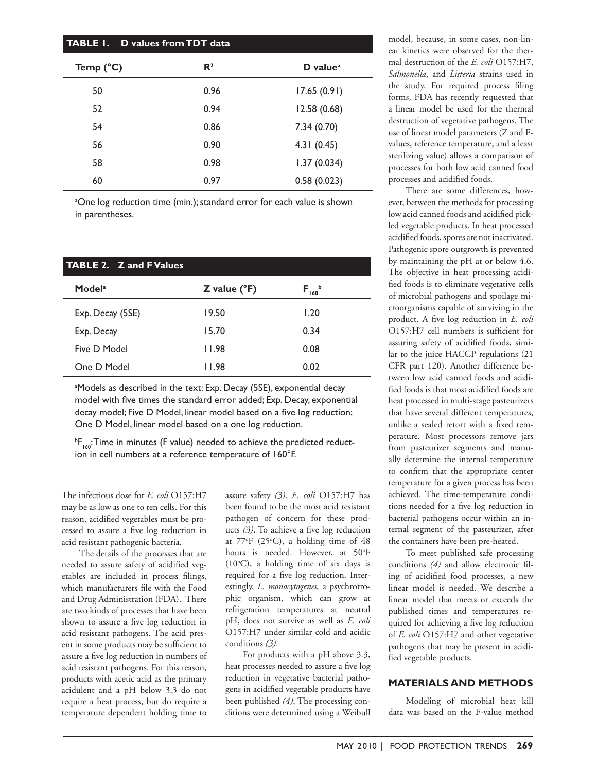| <b>TABLE 1. D values from TDT data</b> |                |                                     |
|----------------------------------------|----------------|-------------------------------------|
| Temp $(^{\circ}C)$                     | $\mathbf{R}^2$ | $D$ value <sup><math>a</math></sup> |
| 50                                     | 0.96           | 17.65(0.91)                         |
| 52                                     | 0.94           | 12.58(0.68)                         |
| 54                                     | 0.86           | 7.34(0.70)                          |
| 56                                     | 0.90           | 4.31(0.45)                          |
| 58                                     | 0.98           | 1.37(0.034)                         |
| 60                                     | 0.97           | 0.58(0.023)                         |

<sup>a</sup>One log reduction time (min.); standard error for each value is shown in parentheses.

| <b>TABLE 2. Z and F Values</b> |                             |                              |
|--------------------------------|-----------------------------|------------------------------|
| Model <sup>a</sup>             | $Z$ value ( ${}^{\circ}$ F) | $\mathsf{F}_{_{160}}^{^{b}}$ |
| Exp. Decay (5SE)               | 19.50                       | 1.20                         |
| Exp. Decay                     | 15.70                       | 0.34                         |
| Five D Model                   | 11.98                       | 0.08                         |
| One D Model                    | 11.98                       | 0.02                         |

<sup>a</sup>Models as described in the text: Exp. Decay (5SE), exponential decay model with five times the standard error added; Exp. Decay, exponential decay model; Five D Model, linear model based on a five log reduction; One D Model, linear model based on a one log reduction.

 $^{\rm b}$ F<sub>160</sub>:Time in minutes (F value) needed to achieve the predicted reduction in cell numbers at a reference temperature of 160°F.

The infectious dose for *E. coli* O157:H7 may be as low as one to ten cells. For this reason, acidified vegetables must be processed to assure a five log reduction in acid resistant pathogenic bacteria.

The details of the processes that are needed to assure safety of acidified vegetables are included in process filings, which manufacturers file with the Food and Drug Administration (FDA). There are two kinds of processes that have been shown to assure a five log reduction in acid resistant pathogens. The acid present in some products may be sufficient to assure a five log reduction in numbers of acid resistant pathogens. For this reason, products with acetic acid as the primary acidulent and a pH below 3.3 do not require a heat process, but do require a temperature dependent holding time to

assure safety *(3)*. *E. coli* O157:H7 has been found to be the most acid resistant pathogen of concern for these products *(3)*. To achieve a five log reduction at 77°F (25°C), a holding time of 48 hours is needed. However, at 50°F  $(10^{\circ}C)$ , a holding time of six days is required for a five log reduction. Interestingly, *L. monocytogenes,* a psychrotrophic organism, which can grow at refrigeration temperatures at neutral pH, does not survive as well as *E. coli*  O157:H7 under similar cold and acidic conditions *(3)*.

For products with a pH above 3.3, heat processes needed to assure a five log reduction in vegetative bacterial pathogens in acidified vegetable products have been published *(4)*. The processing conditions were determined using a Weibull

model, because, in some cases, non-linear kinetics were observed for the thermal destruction of the *E. coli* O157:H7, *Salmonella*, and *Listeria* strains used in the study. For required process filing forms, FDA has recently requested that a linear model be used for the thermal destruction of vegetative pathogens. The use of linear model parameters (Z and Fvalues, reference temperature, and a least sterilizing value) allows a comparison of processes for both low acid canned food processes and acidified foods.

There are some differences, however, between the methods for processing low acid canned foods and acidified pickled vegetable products. In heat processed acidified foods, spores are not inactivated. Pathogenic spore outgrowth is prevented by maintaining the pH at or below 4.6. The objective in heat processing acidified foods is to eliminate vegetative cells of microbial pathogens and spoilage microorganisms capable of surviving in the product. A five log reduction in *E. coli*  O157:H7 cell numbers is sufficient for assuring safety of acidified foods, similar to the juice HACCP regulations (21 CFR part 120). Another difference between low acid canned foods and acidified foods is that most acidified foods are heat processed in multi-stage pasteurizers that have several different temperatures, unlike a sealed retort with a fixed temperature. Most processors remove jars from pasteurizer segments and manually determine the internal temperature to confirm that the appropriate center temperature for a given process has been achieved. The time-temperature conditions needed for a five log reduction in bacterial pathogens occur within an internal segment of the pasteurizer, after the containers have been pre-heated.

To meet published safe processing conditions *(4)* and allow electronic filing of acidified food processes, a new linear model is needed. We describe a linear model that meets or exceeds the published times and temperatures required for achieving a five log reduction of *E. coli* O157:H7 and other vegetative pathogens that may be present in acidified vegetable products.

## **MATERIALS AND METHODS**

Modeling of microbial heat kill data was based on the F-value method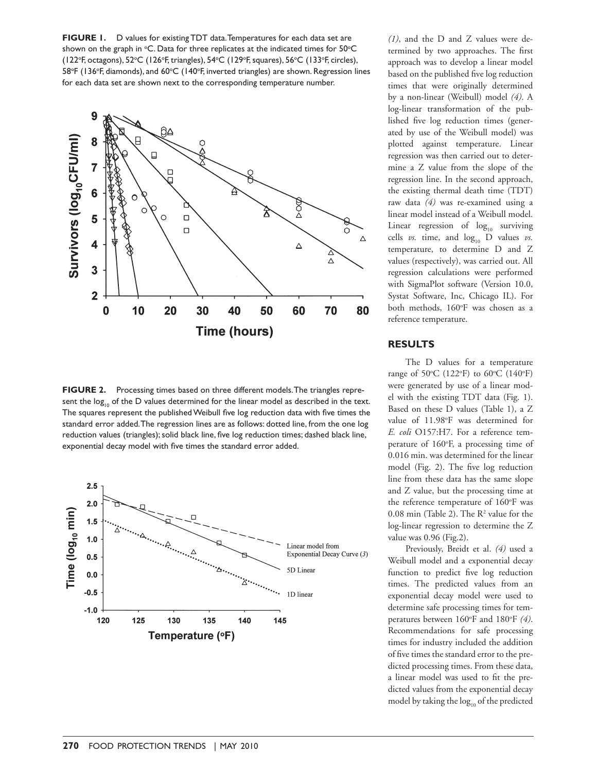**FIGURE 1.** D values for existing TDT data. Temperatures for each data set are shown on the graph in  $\mathrm{^{\circ}C}.$  Data for three replicates at the indicated times for 50 $\mathrm{^{\circ}C}$ (122°F, octagons), 52°C (126°F, triangles), 54°C (129°F, squares), 56°C (133°F, circles), 58°F (136°F, diamonds), and 60°C (140°F, inverted triangles) are shown. Regression lines for each data set are shown next to the corresponding temperature number.



**FIGURE 2.** Processing times based on three different models. The triangles represent the  $log_{10}$  of the D values determined for the linear model as described in the text. The squares represent the published Weibull five log reduction data with five times the standard error added. The regression lines are as follows: dotted line, from the one log reduction values (triangles); solid black line, five log reduction times; dashed black line, exponential decay model with five times the standard error added.



*(1)*, and the D and Z values were determined by two approaches. The first approach was to develop a linear model based on the published five log reduction times that were originally determined by a non-linear (Weibull) model *(4)*. A log-linear transformation of the published five log reduction times (generated by use of the Weibull model) was plotted against temperature. Linear regression was then carried out to determine a Z value from the slope of the regression line. In the second approach, the existing thermal death time (TDT) raw data *(4)* was re-examined using a linear model instead of a Weibull model. Linear regression of  $log_{10}$  surviving cells  $vs.$  time, and  $log_{10}$  D values  $vs.$ temperature, to determine D and Z values (respectively), was carried out. All regression calculations were performed with SigmaPlot software (Version 10.0, Systat Software, Inc, Chicago IL). For both methods, 160°F was chosen as a reference temperature.

#### **RESULTS**

The D values for a temperature range of 50 $\rm ^{o}C$  (122 $\rm ^{o}F$ ) to 60 $\rm ^{o}C$  (140 $\rm ^{o}F$ ) were generated by use of a linear model with the existing TDT data (Fig. 1). Based on these D values (Table 1), a Z value of 11.98°F was determined for *E. coli* O157:H7. For a reference temperature of 160°F, a processing time of 0.016 min. was determined for the linear model (Fig. 2). The five log reduction line from these data has the same slope and Z value, but the processing time at the reference temperature of 160°F was  $0.08$  min (Table 2). The  $\mathbb{R}^2$  value for the log-linear regression to determine the Z value was 0.96 (Fig.2).

Previously, Breidt et al. *(4)* used a Weibull model and a exponential decay function to predict five log reduction times. The predicted values from an exponential decay model were used to determine safe processing times for temperatures between 160°F and 180°F (4). Recommendations for safe processing times for industry included the addition of five times the standard error to the predicted processing times. From these data, a linear model was used to fit the predicted values from the exponential decay model by taking the  $log_{10}$  of the predicted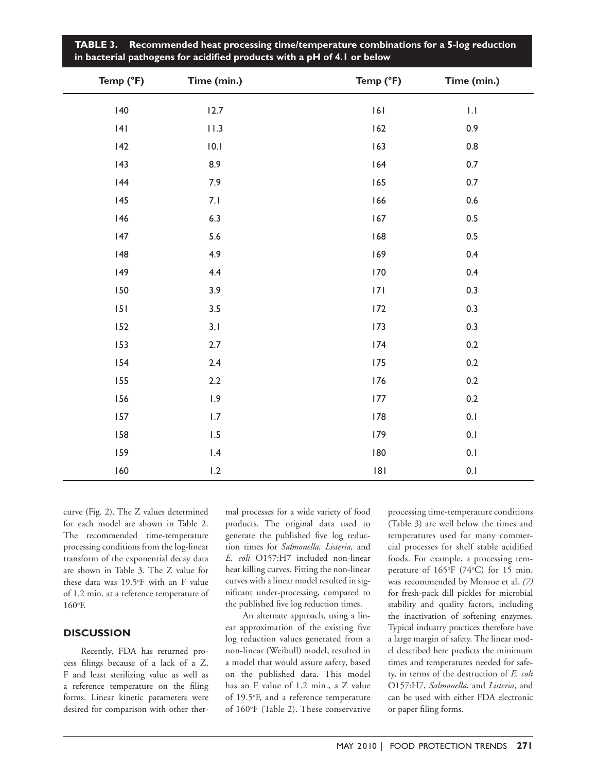| Temp (°F) | Time (min.)             | Temp (°F) | Time (min.)               |
|-----------|-------------------------|-----------|---------------------------|
| 140       | 12.7                    | 6         | $\mathop{\rm L}\nolimits$ |
| 4         | 11.3                    | 162       | 0.9                       |
| 142       | 0.1                     | 163       | $0.8\,$                   |
| 143       | 8.9                     | 164       | $0.7\,$                   |
| 144       | 7.9                     | 165       | 0.7                       |
| 145       | 7.1                     | 166       | $0.6\,$                   |
| 146       | 6.3                     | 167       | $0.5\,$                   |
| 147       | 5.6                     | 168       | 0.5                       |
| 48        | 4.9                     | 169       | 0.4                       |
| 149       | 4.4                     | 170       | 0.4                       |
| 150       | 3.9                     | 7         | 0.3                       |
| 151       | 3.5                     | 172       | 0.3                       |
| 152       | 3.1                     | 173       | 0.3                       |
| 153       | 2.7                     | 174       | $0.2\,$                   |
| 154       | 2.4                     | 175       | $0.2\,$                   |
| 155       | 2.2                     | 176       | $0.2\,$                   |
| 156       | 1.9                     | 177       | $0.2\,$                   |
| 157       | $1.7\,$                 | 178       | 0.1                       |
| 158       | 1.5                     | 179       | 0.1                       |
| 159       | $\mathsf{I}.\mathsf{4}$ | 180       | $0.1\,$                   |
| 160       | 1.2                     | 8         | 0.1                       |

**Table 3. Recommended heat processing time/temperature combinations for a 5-log reduction in bacterial pathogens for acidified products with a pH of 4.1 or below**

curve (Fig. 2). The Z values determined for each model are shown in Table 2. The recommended time-temperature processing conditions from the log-linear transform of the exponential decay data are shown in Table 3. The Z value for these data was 19.5°F with an F value of 1.2 min. at a reference temperature of 160°F.

# **DISCUSSION**

Recently, FDA has returned process filings because of a lack of a Z, F and least sterilizing value as well as a reference temperature on the filing forms. Linear kinetic parameters were desired for comparison with other thermal processes for a wide variety of food products. The original data used to generate the published five log reduction times for *Salmonella, Listeria,* and *E. coli* O157:H7 included non-linear heat killing curves. Fitting the non-linear curves with a linear model resulted in significant under-processing, compared to the published five log reduction times.

An alternate approach, using a linear approximation of the existing five log reduction values generated from a non-linear (Weibull) model, resulted in a model that would assure safety, based on the published data. This model has an F value of 1.2 min., a Z value of 19.5°F, and a reference temperature of 160°F (Table 2). These conservative processing time-temperature conditions (Table 3) are well below the times and temperatures used for many commercial processes for shelf stable acidified foods. For example, a processing temperature of 165°F (74°C) for 15 min. was recommended by Monroe et al. *(7)* for fresh-pack dill pickles for microbial stability and quality factors, including the inactivation of softening enzymes. Typical industry practices therefore have a large margin of safety. The linear model described here predicts the minimum times and temperatures needed for safety, in terms of the destruction of *E. coli*  O157:H7, *Salmonella*, and *Listeria*, and can be used with either FDA electronic or paper filing forms.